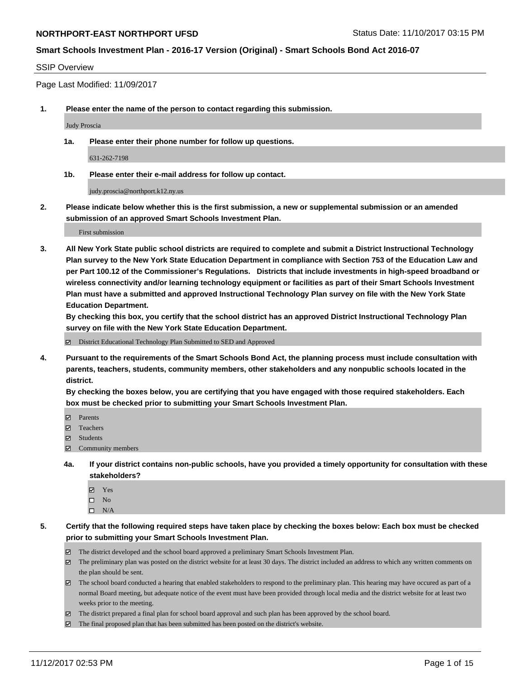#### SSIP Overview

Page Last Modified: 11/09/2017

**1. Please enter the name of the person to contact regarding this submission.**

Judy Proscia

**1a. Please enter their phone number for follow up questions.**

631-262-7198

**1b. Please enter their e-mail address for follow up contact.**

judy.proscia@northport.k12.ny.us

**2. Please indicate below whether this is the first submission, a new or supplemental submission or an amended submission of an approved Smart Schools Investment Plan.**

First submission

**3. All New York State public school districts are required to complete and submit a District Instructional Technology Plan survey to the New York State Education Department in compliance with Section 753 of the Education Law and per Part 100.12 of the Commissioner's Regulations. Districts that include investments in high-speed broadband or wireless connectivity and/or learning technology equipment or facilities as part of their Smart Schools Investment Plan must have a submitted and approved Instructional Technology Plan survey on file with the New York State Education Department.** 

**By checking this box, you certify that the school district has an approved District Instructional Technology Plan survey on file with the New York State Education Department.**

District Educational Technology Plan Submitted to SED and Approved

**4. Pursuant to the requirements of the Smart Schools Bond Act, the planning process must include consultation with parents, teachers, students, community members, other stakeholders and any nonpublic schools located in the district.** 

**By checking the boxes below, you are certifying that you have engaged with those required stakeholders. Each box must be checked prior to submitting your Smart Schools Investment Plan.**

- **Parents**
- Teachers
- **☑** Students
- $\Xi$  Community members
- **4a. If your district contains non-public schools, have you provided a timely opportunity for consultation with these stakeholders?**
	- **Ø** Yes
	- $\square$  No
	- $\square$  N/A
- **5. Certify that the following required steps have taken place by checking the boxes below: Each box must be checked prior to submitting your Smart Schools Investment Plan.**
	- The district developed and the school board approved a preliminary Smart Schools Investment Plan.
	- The preliminary plan was posted on the district website for at least 30 days. The district included an address to which any written comments on the plan should be sent.
	- The school board conducted a hearing that enabled stakeholders to respond to the preliminary plan. This hearing may have occured as part of a normal Board meeting, but adequate notice of the event must have been provided through local media and the district website for at least two weeks prior to the meeting.
	- The district prepared a final plan for school board approval and such plan has been approved by the school board.
	- $\boxtimes$  The final proposed plan that has been submitted has been posted on the district's website.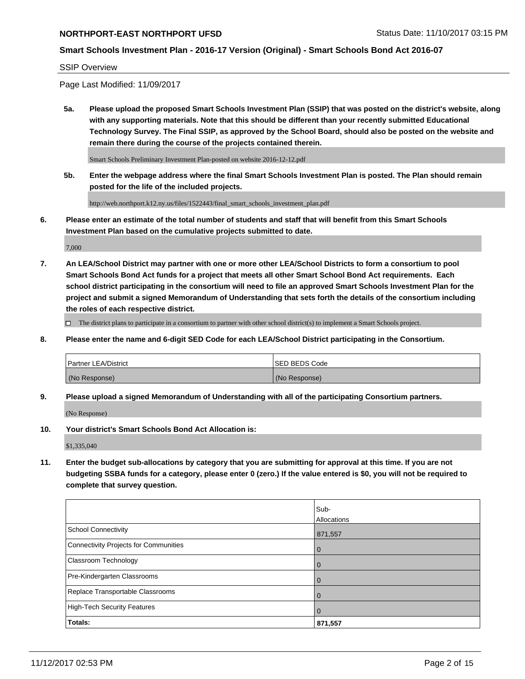#### **Smart Schools Investment Plan - 2016-17 Version (Original) - Smart Schools Bond Act 2016-07**

#### SSIP Overview

Page Last Modified: 11/09/2017

**5a. Please upload the proposed Smart Schools Investment Plan (SSIP) that was posted on the district's website, along with any supporting materials. Note that this should be different than your recently submitted Educational Technology Survey. The Final SSIP, as approved by the School Board, should also be posted on the website and remain there during the course of the projects contained therein.**

Smart Schools Preliminary Investment Plan-posted on website 2016-12-12.pdf

**5b. Enter the webpage address where the final Smart Schools Investment Plan is posted. The Plan should remain posted for the life of the included projects.**

http://web.northport.k12.ny.us/files/1522443/final\_smart\_schools\_investment\_plan.pdf

**6. Please enter an estimate of the total number of students and staff that will benefit from this Smart Schools Investment Plan based on the cumulative projects submitted to date.**

7,000

**7. An LEA/School District may partner with one or more other LEA/School Districts to form a consortium to pool Smart Schools Bond Act funds for a project that meets all other Smart School Bond Act requirements. Each school district participating in the consortium will need to file an approved Smart Schools Investment Plan for the project and submit a signed Memorandum of Understanding that sets forth the details of the consortium including the roles of each respective district.**

 $\Box$  The district plans to participate in a consortium to partner with other school district(s) to implement a Smart Schools project.

**8. Please enter the name and 6-digit SED Code for each LEA/School District participating in the Consortium.**

| <b>Partner LEA/District</b> | <b>ISED BEDS Code</b> |
|-----------------------------|-----------------------|
| (No Response)               | (No Response)         |

**9. Please upload a signed Memorandum of Understanding with all of the participating Consortium partners.**

(No Response)

**10. Your district's Smart Schools Bond Act Allocation is:**

\$1,335,040

**11. Enter the budget sub-allocations by category that you are submitting for approval at this time. If you are not budgeting SSBA funds for a category, please enter 0 (zero.) If the value entered is \$0, you will not be required to complete that survey question.**

|                                              | Sub-<br>Allocations |
|----------------------------------------------|---------------------|
|                                              |                     |
| <b>School Connectivity</b>                   | 871,557             |
| <b>Connectivity Projects for Communities</b> | 0                   |
| Classroom Technology                         | $\overline{0}$      |
| Pre-Kindergarten Classrooms                  | $\overline{0}$      |
| Replace Transportable Classrooms             | 0                   |
| <b>High-Tech Security Features</b>           | $\overline{0}$      |
| Totals:                                      | 871,557             |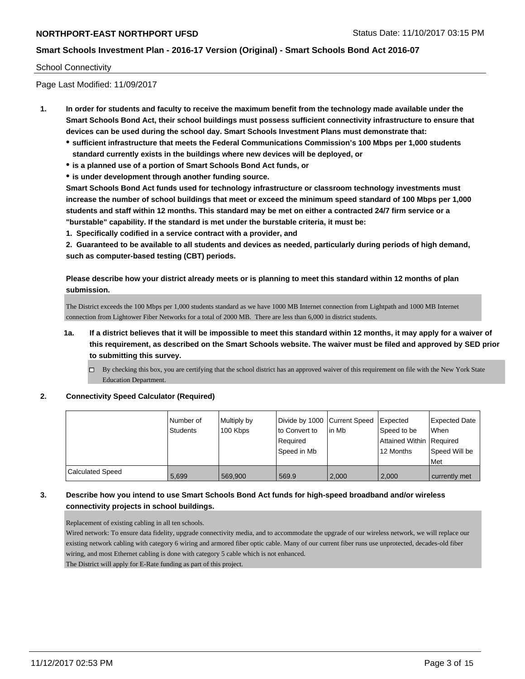#### School Connectivity

Page Last Modified: 11/09/2017

- **1. In order for students and faculty to receive the maximum benefit from the technology made available under the Smart Schools Bond Act, their school buildings must possess sufficient connectivity infrastructure to ensure that devices can be used during the school day. Smart Schools Investment Plans must demonstrate that:**
	- **sufficient infrastructure that meets the Federal Communications Commission's 100 Mbps per 1,000 students standard currently exists in the buildings where new devices will be deployed, or**
	- **is a planned use of a portion of Smart Schools Bond Act funds, or**
	- **is under development through another funding source.**

**Smart Schools Bond Act funds used for technology infrastructure or classroom technology investments must increase the number of school buildings that meet or exceed the minimum speed standard of 100 Mbps per 1,000 students and staff within 12 months. This standard may be met on either a contracted 24/7 firm service or a "burstable" capability. If the standard is met under the burstable criteria, it must be:**

**1. Specifically codified in a service contract with a provider, and**

**2. Guaranteed to be available to all students and devices as needed, particularly during periods of high demand, such as computer-based testing (CBT) periods.**

**Please describe how your district already meets or is planning to meet this standard within 12 months of plan submission.**

The District exceeds the 100 Mbps per 1,000 students standard as we have 1000 MB Internet connection from Lightpath and 1000 MB Internet connection from Lightower Fiber Networks for a total of 2000 MB. There are less than 6,000 in district students.

- **1a. If a district believes that it will be impossible to meet this standard within 12 months, it may apply for a waiver of this requirement, as described on the Smart Schools website. The waiver must be filed and approved by SED prior to submitting this survey.**
	- By checking this box, you are certifying that the school district has an approved waiver of this requirement on file with the New York State Education Department.

#### **2. Connectivity Speed Calculator (Required)**

|                         | Number of<br><b>Students</b> | Multiply by<br>100 Kbps | Divide by 1000 Current Speed<br>to Convert to<br>Required<br>Speed in Mb | lin Mb | <b>Expected</b><br>Speed to be<br>Attained Within Required<br>12 Months | <b>Expected Date</b><br><b>When</b><br>Speed Will be<br>Met |
|-------------------------|------------------------------|-------------------------|--------------------------------------------------------------------------|--------|-------------------------------------------------------------------------|-------------------------------------------------------------|
| <b>Calculated Speed</b> | 5.699                        | 569.900                 | 569.9                                                                    | 2.000  | 2.000                                                                   | currently met                                               |

### **3. Describe how you intend to use Smart Schools Bond Act funds for high-speed broadband and/or wireless connectivity projects in school buildings.**

Replacement of existing cabling in all ten schools.

Wired network: To ensure data fidelity, upgrade connectivity media, and to accommodate the upgrade of our wireless network, we will replace our existing network cabling with category 6 wiring and armored fiber optic cable. Many of our current fiber runs use unprotected, decades-old fiber wiring, and most Ethernet cabling is done with category 5 cable which is not enhanced. The District will apply for E-Rate funding as part of this project.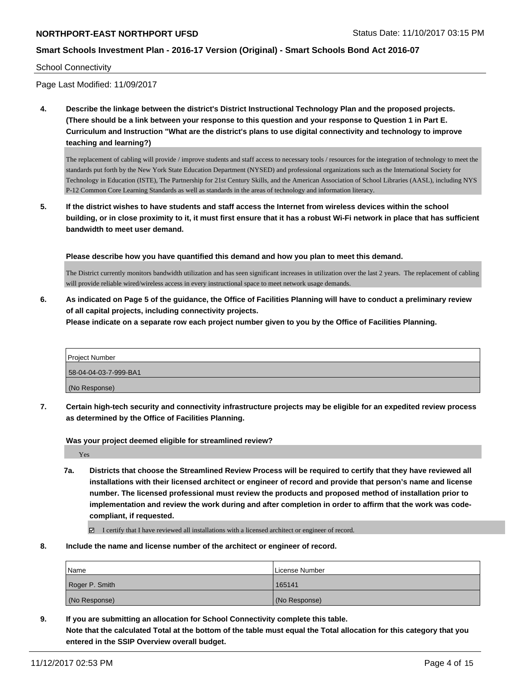### **Smart Schools Investment Plan - 2016-17 Version (Original) - Smart Schools Bond Act 2016-07**

School Connectivity

Page Last Modified: 11/09/2017

**4. Describe the linkage between the district's District Instructional Technology Plan and the proposed projects. (There should be a link between your response to this question and your response to Question 1 in Part E. Curriculum and Instruction "What are the district's plans to use digital connectivity and technology to improve teaching and learning?)**

The replacement of cabling will provide / improve students and staff access to necessary tools / resources for the integration of technology to meet the standards put forth by the New York State Education Department (NYSED) and professional organizations such as the International Society for Technology in Education (ISTE), The Partnership for 21st Century Skills, and the American Association of School Libraries (AASL), including NYS P-12 Common Core Learning Standards as well as standards in the areas of technology and information literacy.

**5. If the district wishes to have students and staff access the Internet from wireless devices within the school building, or in close proximity to it, it must first ensure that it has a robust Wi-Fi network in place that has sufficient bandwidth to meet user demand.**

**Please describe how you have quantified this demand and how you plan to meet this demand.**

The District currently monitors bandwidth utilization and has seen significant increases in utilization over the last 2 years. The replacement of cabling will provide reliable wired/wireless access in every instructional space to meet network usage demands.

**6. As indicated on Page 5 of the guidance, the Office of Facilities Planning will have to conduct a preliminary review of all capital projects, including connectivity projects.**

**Please indicate on a separate row each project number given to you by the Office of Facilities Planning.**

| <b>Project Number</b> |
|-----------------------|
| 58-04-04-03-7-999-BA1 |
| (No Response)         |

**7. Certain high-tech security and connectivity infrastructure projects may be eligible for an expedited review process as determined by the Office of Facilities Planning.**

**Was your project deemed eligible for streamlined review?**

Yes

**7a. Districts that choose the Streamlined Review Process will be required to certify that they have reviewed all installations with their licensed architect or engineer of record and provide that person's name and license number. The licensed professional must review the products and proposed method of installation prior to implementation and review the work during and after completion in order to affirm that the work was codecompliant, if requested.**

I certify that I have reviewed all installations with a licensed architect or engineer of record.

**8. Include the name and license number of the architect or engineer of record.**

| Name           | License Number |
|----------------|----------------|
| Roger P. Smith | 165141         |
| (No Response)  | (No Response)  |

**9. If you are submitting an allocation for School Connectivity complete this table. Note that the calculated Total at the bottom of the table must equal the Total allocation for this category that you entered in the SSIP Overview overall budget.**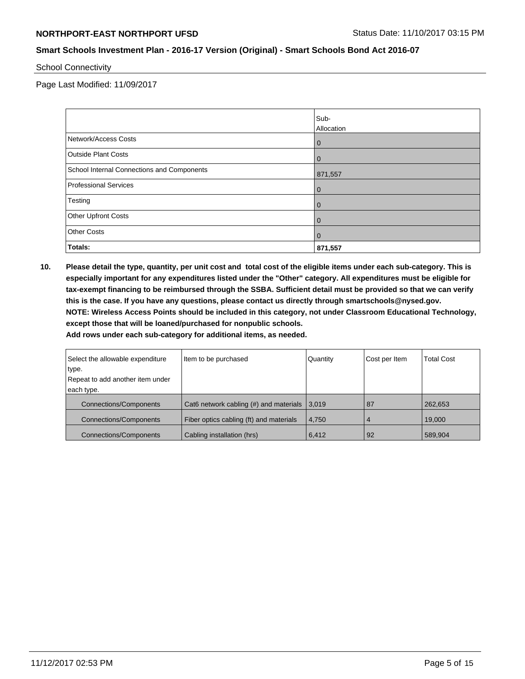School Connectivity

Page Last Modified: 11/09/2017

|                                            | Sub-<br>Allocation |
|--------------------------------------------|--------------------|
| Network/Access Costs                       | $\overline{0}$     |
| <b>Outside Plant Costs</b>                 | $\overline{0}$     |
| School Internal Connections and Components | 871,557            |
| <b>Professional Services</b>               | $\overline{0}$     |
| Testing                                    | $\overline{0}$     |
| Other Upfront Costs                        | $\overline{0}$     |
| <b>Other Costs</b>                         | $\overline{0}$     |
| Totals:                                    | 871,557            |

**10. Please detail the type, quantity, per unit cost and total cost of the eligible items under each sub-category. This is especially important for any expenditures listed under the "Other" category. All expenditures must be eligible for tax-exempt financing to be reimbursed through the SSBA. Sufficient detail must be provided so that we can verify this is the case. If you have any questions, please contact us directly through smartschools@nysed.gov. NOTE: Wireless Access Points should be included in this category, not under Classroom Educational Technology, except those that will be loaned/purchased for nonpublic schools.**

| Select the allowable expenditure | Item to be purchased                                     | Quantity | Cost per Item | <b>Total Cost</b> |
|----------------------------------|----------------------------------------------------------|----------|---------------|-------------------|
| type.                            |                                                          |          |               |                   |
| Repeat to add another item under |                                                          |          |               |                   |
| each type.                       |                                                          |          |               |                   |
| Connections/Components           | Cat6 network cabling $(#)$ and materials $ 3,019\rangle$ |          | 87            | 262,653           |
| <b>Connections/Components</b>    | Fiber optics cabling (ft) and materials                  | 4.750    | 4             | 19,000            |
| <b>Connections/Components</b>    | Cabling installation (hrs)                               | 6,412    | 92            | 589,904           |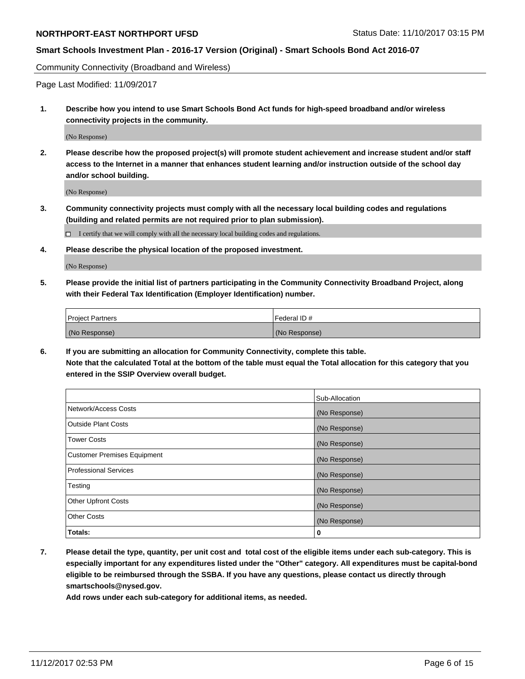### **Smart Schools Investment Plan - 2016-17 Version (Original) - Smart Schools Bond Act 2016-07**

Community Connectivity (Broadband and Wireless)

Page Last Modified: 11/09/2017

**1. Describe how you intend to use Smart Schools Bond Act funds for high-speed broadband and/or wireless connectivity projects in the community.**

(No Response)

**2. Please describe how the proposed project(s) will promote student achievement and increase student and/or staff access to the Internet in a manner that enhances student learning and/or instruction outside of the school day and/or school building.**

(No Response)

**3. Community connectivity projects must comply with all the necessary local building codes and regulations (building and related permits are not required prior to plan submission).**

 $\Box$  I certify that we will comply with all the necessary local building codes and regulations.

**4. Please describe the physical location of the proposed investment.**

(No Response)

**5. Please provide the initial list of partners participating in the Community Connectivity Broadband Project, along with their Federal Tax Identification (Employer Identification) number.**

| <b>Project Partners</b> | l Federal ID # |
|-------------------------|----------------|
| (No Response)           | (No Response)  |

**6. If you are submitting an allocation for Community Connectivity, complete this table. Note that the calculated Total at the bottom of the table must equal the Total allocation for this category that you entered in the SSIP Overview overall budget.**

|                                    | Sub-Allocation |
|------------------------------------|----------------|
| Network/Access Costs               | (No Response)  |
| <b>Outside Plant Costs</b>         | (No Response)  |
| <b>Tower Costs</b>                 | (No Response)  |
| <b>Customer Premises Equipment</b> | (No Response)  |
| <b>Professional Services</b>       | (No Response)  |
| Testing                            | (No Response)  |
| <b>Other Upfront Costs</b>         | (No Response)  |
| <b>Other Costs</b>                 | (No Response)  |
| Totals:                            | 0              |

**7. Please detail the type, quantity, per unit cost and total cost of the eligible items under each sub-category. This is especially important for any expenditures listed under the "Other" category. All expenditures must be capital-bond eligible to be reimbursed through the SSBA. If you have any questions, please contact us directly through smartschools@nysed.gov.**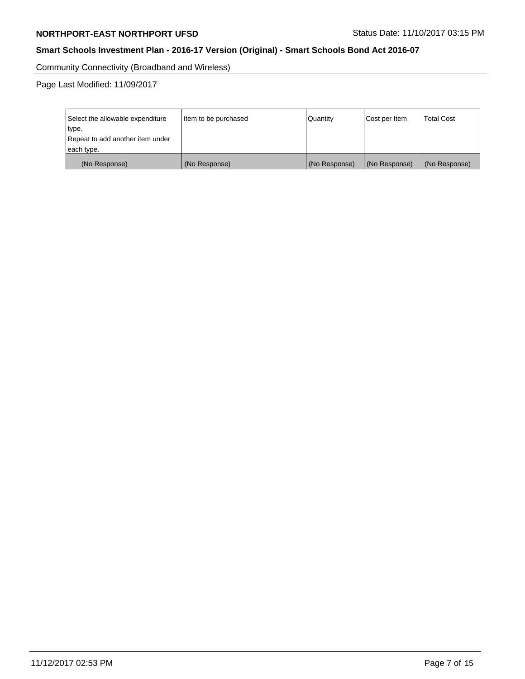Community Connectivity (Broadband and Wireless)

Page Last Modified: 11/09/2017

| Select the allowable expenditure<br>Item to be purchased<br>type.<br>Repeat to add another item under<br>each type. |               | Quantity      | Cost per Item | <b>Total Cost</b> |
|---------------------------------------------------------------------------------------------------------------------|---------------|---------------|---------------|-------------------|
| (No Response)                                                                                                       | (No Response) | (No Response) | (No Response) | (No Response)     |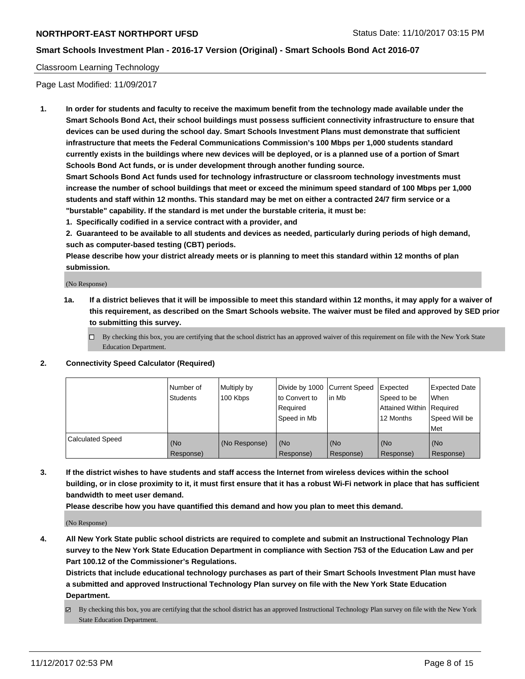#### Classroom Learning Technology

Page Last Modified: 11/09/2017

**1. In order for students and faculty to receive the maximum benefit from the technology made available under the Smart Schools Bond Act, their school buildings must possess sufficient connectivity infrastructure to ensure that devices can be used during the school day. Smart Schools Investment Plans must demonstrate that sufficient infrastructure that meets the Federal Communications Commission's 100 Mbps per 1,000 students standard currently exists in the buildings where new devices will be deployed, or is a planned use of a portion of Smart Schools Bond Act funds, or is under development through another funding source.**

**Smart Schools Bond Act funds used for technology infrastructure or classroom technology investments must increase the number of school buildings that meet or exceed the minimum speed standard of 100 Mbps per 1,000 students and staff within 12 months. This standard may be met on either a contracted 24/7 firm service or a "burstable" capability. If the standard is met under the burstable criteria, it must be:**

**1. Specifically codified in a service contract with a provider, and**

**2. Guaranteed to be available to all students and devices as needed, particularly during periods of high demand, such as computer-based testing (CBT) periods.**

**Please describe how your district already meets or is planning to meet this standard within 12 months of plan submission.**

(No Response)

- **1a. If a district believes that it will be impossible to meet this standard within 12 months, it may apply for a waiver of this requirement, as described on the Smart Schools website. The waiver must be filed and approved by SED prior to submitting this survey.**
	- $\Box$  By checking this box, you are certifying that the school district has an approved waiver of this requirement on file with the New York State Education Department.
- **2. Connectivity Speed Calculator (Required)**

|                         | Number of<br>Students | Multiply by<br>100 Kbps | Divide by 1000 Current Speed<br>to Convert to<br>Required<br>Speed in Mb | l in Mb          | Expected<br>Speed to be<br>Attained Within   Required<br>12 Months | <b>Expected Date</b><br>When<br>Speed Will be<br><b>Met</b> |
|-------------------------|-----------------------|-------------------------|--------------------------------------------------------------------------|------------------|--------------------------------------------------------------------|-------------------------------------------------------------|
| <b>Calculated Speed</b> | (No<br>Response)      | (No Response)           | (No<br>Response)                                                         | (No<br>Response) | (No<br>Response)                                                   | (No<br>Response)                                            |

**3. If the district wishes to have students and staff access the Internet from wireless devices within the school building, or in close proximity to it, it must first ensure that it has a robust Wi-Fi network in place that has sufficient bandwidth to meet user demand.**

**Please describe how you have quantified this demand and how you plan to meet this demand.**

(No Response)

**4. All New York State public school districts are required to complete and submit an Instructional Technology Plan survey to the New York State Education Department in compliance with Section 753 of the Education Law and per Part 100.12 of the Commissioner's Regulations.**

**Districts that include educational technology purchases as part of their Smart Schools Investment Plan must have a submitted and approved Instructional Technology Plan survey on file with the New York State Education Department.**

By checking this box, you are certifying that the school district has an approved Instructional Technology Plan survey on file with the New York State Education Department.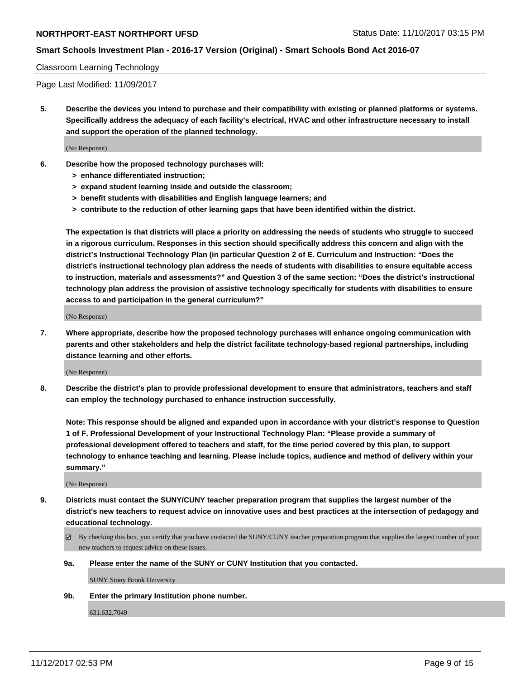# **Smart Schools Investment Plan - 2016-17 Version (Original) - Smart Schools Bond Act 2016-07**

#### Classroom Learning Technology

Page Last Modified: 11/09/2017

**5. Describe the devices you intend to purchase and their compatibility with existing or planned platforms or systems. Specifically address the adequacy of each facility's electrical, HVAC and other infrastructure necessary to install and support the operation of the planned technology.**

(No Response)

- **6. Describe how the proposed technology purchases will:**
	- **> enhance differentiated instruction;**
	- **> expand student learning inside and outside the classroom;**
	- **> benefit students with disabilities and English language learners; and**
	- **> contribute to the reduction of other learning gaps that have been identified within the district.**

**The expectation is that districts will place a priority on addressing the needs of students who struggle to succeed in a rigorous curriculum. Responses in this section should specifically address this concern and align with the district's Instructional Technology Plan (in particular Question 2 of E. Curriculum and Instruction: "Does the district's instructional technology plan address the needs of students with disabilities to ensure equitable access to instruction, materials and assessments?" and Question 3 of the same section: "Does the district's instructional technology plan address the provision of assistive technology specifically for students with disabilities to ensure access to and participation in the general curriculum?"**

(No Response)

**7. Where appropriate, describe how the proposed technology purchases will enhance ongoing communication with parents and other stakeholders and help the district facilitate technology-based regional partnerships, including distance learning and other efforts.**

(No Response)

**8. Describe the district's plan to provide professional development to ensure that administrators, teachers and staff can employ the technology purchased to enhance instruction successfully.**

**Note: This response should be aligned and expanded upon in accordance with your district's response to Question 1 of F. Professional Development of your Instructional Technology Plan: "Please provide a summary of professional development offered to teachers and staff, for the time period covered by this plan, to support technology to enhance teaching and learning. Please include topics, audience and method of delivery within your summary."**

(No Response)

- **9. Districts must contact the SUNY/CUNY teacher preparation program that supplies the largest number of the district's new teachers to request advice on innovative uses and best practices at the intersection of pedagogy and educational technology.**
	- By checking this box, you certify that you have contacted the SUNY/CUNY teacher preparation program that supplies the largest number of your new teachers to request advice on these issues.
	- **9a. Please enter the name of the SUNY or CUNY Institution that you contacted.**

SUNY Stony Brook University

**9b. Enter the primary Institution phone number.**

631.632.7049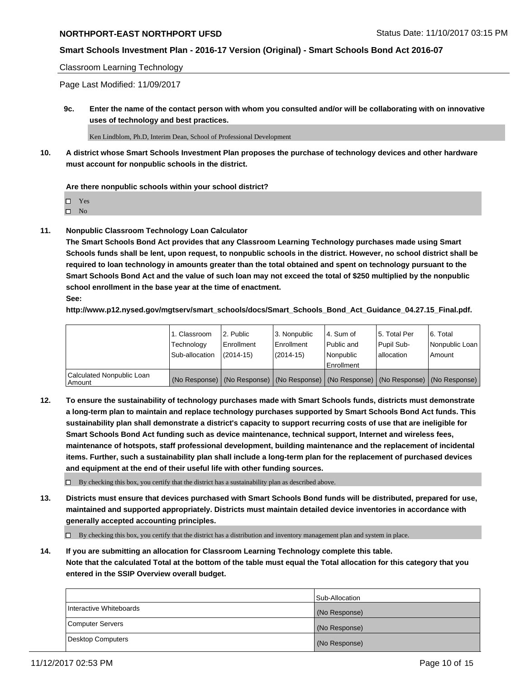#### **Smart Schools Investment Plan - 2016-17 Version (Original) - Smart Schools Bond Act 2016-07**

#### Classroom Learning Technology

Page Last Modified: 11/09/2017

**9c. Enter the name of the contact person with whom you consulted and/or will be collaborating with on innovative uses of technology and best practices.**

Ken Lindblom, Ph.D, Interim Dean, School of Professional Development

**10. A district whose Smart Schools Investment Plan proposes the purchase of technology devices and other hardware must account for nonpublic schools in the district.**

**Are there nonpublic schools within your school district?**

Yes

 $\square$  No

**11. Nonpublic Classroom Technology Loan Calculator**

**The Smart Schools Bond Act provides that any Classroom Learning Technology purchases made using Smart Schools funds shall be lent, upon request, to nonpublic schools in the district. However, no school district shall be required to loan technology in amounts greater than the total obtained and spent on technology pursuant to the Smart Schools Bond Act and the value of such loan may not exceed the total of \$250 multiplied by the nonpublic school enrollment in the base year at the time of enactment.**

**See:**

**http://www.p12.nysed.gov/mgtserv/smart\_schools/docs/Smart\_Schools\_Bond\_Act\_Guidance\_04.27.15\_Final.pdf.**

|                                       | 1. Classroom   | l 2. Public   | 3. Nonpublic | l 4. Sum of | 15. Total Per                                                                                 | 6. Total       |
|---------------------------------------|----------------|---------------|--------------|-------------|-----------------------------------------------------------------------------------------------|----------------|
|                                       | Technology     | Enrollment    | Enrollment   | Public and  | Pupil Sub-                                                                                    | Nonpublic Loan |
|                                       | Sub-allocation | $(2014 - 15)$ | $(2014-15)$  | l Nonpublic | allocation                                                                                    | Amount         |
|                                       |                |               |              | Enrollment  |                                                                                               |                |
| Calculated Nonpublic Loan<br>  Amount |                |               |              |             | (No Response)   (No Response)   (No Response)   (No Response)   (No Response)   (No Response) |                |

**12. To ensure the sustainability of technology purchases made with Smart Schools funds, districts must demonstrate a long-term plan to maintain and replace technology purchases supported by Smart Schools Bond Act funds. This sustainability plan shall demonstrate a district's capacity to support recurring costs of use that are ineligible for Smart Schools Bond Act funding such as device maintenance, technical support, Internet and wireless fees, maintenance of hotspots, staff professional development, building maintenance and the replacement of incidental items. Further, such a sustainability plan shall include a long-term plan for the replacement of purchased devices and equipment at the end of their useful life with other funding sources.**

 $\Box$  By checking this box, you certify that the district has a sustainability plan as described above.

**13. Districts must ensure that devices purchased with Smart Schools Bond funds will be distributed, prepared for use, maintained and supported appropriately. Districts must maintain detailed device inventories in accordance with generally accepted accounting principles.**

By checking this box, you certify that the district has a distribution and inventory management plan and system in place.

**14. If you are submitting an allocation for Classroom Learning Technology complete this table. Note that the calculated Total at the bottom of the table must equal the Total allocation for this category that you entered in the SSIP Overview overall budget.**

|                         | Sub-Allocation |
|-------------------------|----------------|
| Interactive Whiteboards | (No Response)  |
| Computer Servers        | (No Response)  |
| Desktop Computers       | (No Response)  |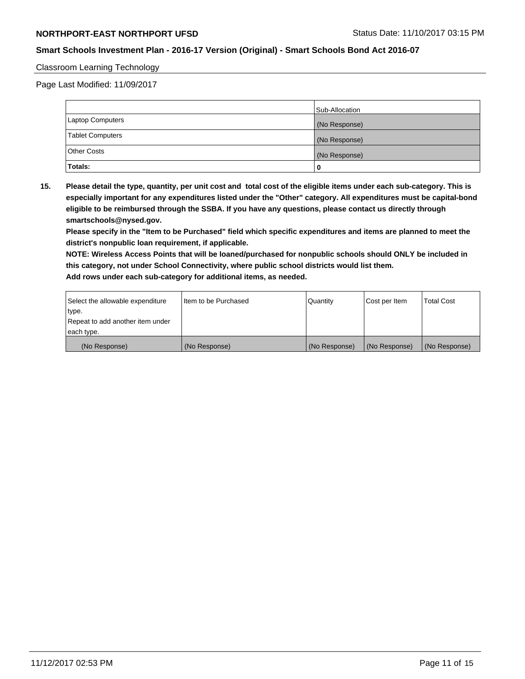# **Smart Schools Investment Plan - 2016-17 Version (Original) - Smart Schools Bond Act 2016-07**

#### Classroom Learning Technology

Page Last Modified: 11/09/2017

|                         | Sub-Allocation |
|-------------------------|----------------|
| <b>Laptop Computers</b> | (No Response)  |
| <b>Tablet Computers</b> | (No Response)  |
| <b>Other Costs</b>      | (No Response)  |
| Totals:                 |                |

**15. Please detail the type, quantity, per unit cost and total cost of the eligible items under each sub-category. This is especially important for any expenditures listed under the "Other" category. All expenditures must be capital-bond eligible to be reimbursed through the SSBA. If you have any questions, please contact us directly through smartschools@nysed.gov.**

**Please specify in the "Item to be Purchased" field which specific expenditures and items are planned to meet the district's nonpublic loan requirement, if applicable.**

**NOTE: Wireless Access Points that will be loaned/purchased for nonpublic schools should ONLY be included in this category, not under School Connectivity, where public school districts would list them. Add rows under each sub-category for additional items, as needed.**

| Select the allowable expenditure | I Item to be Purchased | Quantity      | Cost per Item   | <b>Total Cost</b> |
|----------------------------------|------------------------|---------------|-----------------|-------------------|
| type.                            |                        |               |                 |                   |
| Repeat to add another item under |                        |               |                 |                   |
| each type.                       |                        |               |                 |                   |
| (No Response)                    | (No Response)          | (No Response) | l (No Response) | (No Response)     |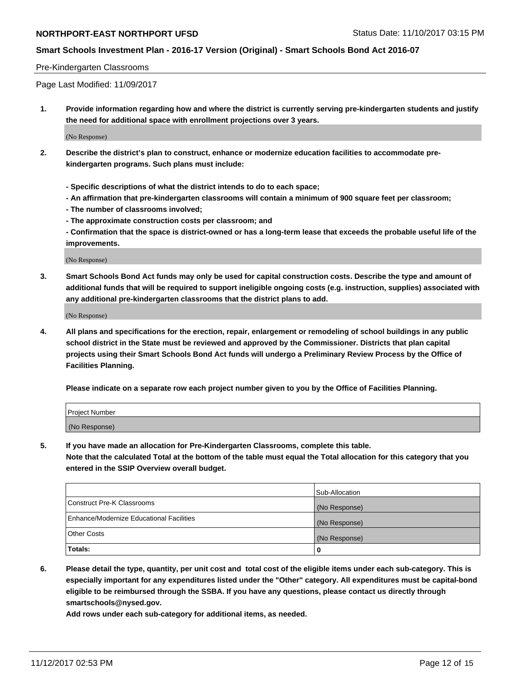# **Smart Schools Investment Plan - 2016-17 Version (Original) - Smart Schools Bond Act 2016-07**

#### Pre-Kindergarten Classrooms

Page Last Modified: 11/09/2017

**1. Provide information regarding how and where the district is currently serving pre-kindergarten students and justify the need for additional space with enrollment projections over 3 years.**

(No Response)

- **2. Describe the district's plan to construct, enhance or modernize education facilities to accommodate prekindergarten programs. Such plans must include:**
	- **Specific descriptions of what the district intends to do to each space;**
	- **An affirmation that pre-kindergarten classrooms will contain a minimum of 900 square feet per classroom;**
	- **The number of classrooms involved;**
	- **The approximate construction costs per classroom; and**

**- Confirmation that the space is district-owned or has a long-term lease that exceeds the probable useful life of the improvements.**

(No Response)

**3. Smart Schools Bond Act funds may only be used for capital construction costs. Describe the type and amount of additional funds that will be required to support ineligible ongoing costs (e.g. instruction, supplies) associated with any additional pre-kindergarten classrooms that the district plans to add.**

(No Response)

**4. All plans and specifications for the erection, repair, enlargement or remodeling of school buildings in any public school district in the State must be reviewed and approved by the Commissioner. Districts that plan capital projects using their Smart Schools Bond Act funds will undergo a Preliminary Review Process by the Office of Facilities Planning.**

**Please indicate on a separate row each project number given to you by the Office of Facilities Planning.**

| Project Number |  |
|----------------|--|
| (No Response)  |  |

**5. If you have made an allocation for Pre-Kindergarten Classrooms, complete this table.**

**Note that the calculated Total at the bottom of the table must equal the Total allocation for this category that you entered in the SSIP Overview overall budget.**

|                                          | Sub-Allocation |
|------------------------------------------|----------------|
| Construct Pre-K Classrooms               | (No Response)  |
| Enhance/Modernize Educational Facilities | (No Response)  |
| <b>Other Costs</b>                       | (No Response)  |
| <b>Totals:</b>                           | 0              |

**6. Please detail the type, quantity, per unit cost and total cost of the eligible items under each sub-category. This is especially important for any expenditures listed under the "Other" category. All expenditures must be capital-bond eligible to be reimbursed through the SSBA. If you have any questions, please contact us directly through smartschools@nysed.gov.**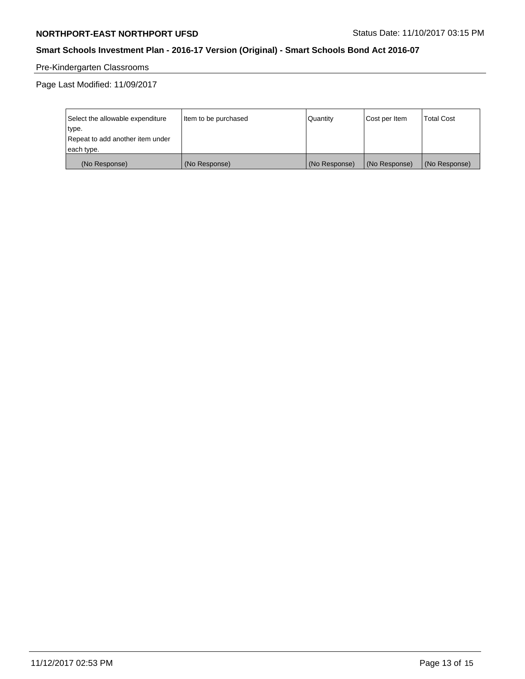# **Smart Schools Investment Plan - 2016-17 Version (Original) - Smart Schools Bond Act 2016-07**

# Pre-Kindergarten Classrooms

Page Last Modified: 11/09/2017

| Select the allowable expenditure | Item to be purchased | Quantity      | Cost per Item | <b>Total Cost</b> |
|----------------------------------|----------------------|---------------|---------------|-------------------|
| type.                            |                      |               |               |                   |
| Repeat to add another item under |                      |               |               |                   |
| each type.                       |                      |               |               |                   |
| (No Response)                    | (No Response)        | (No Response) | (No Response) | (No Response)     |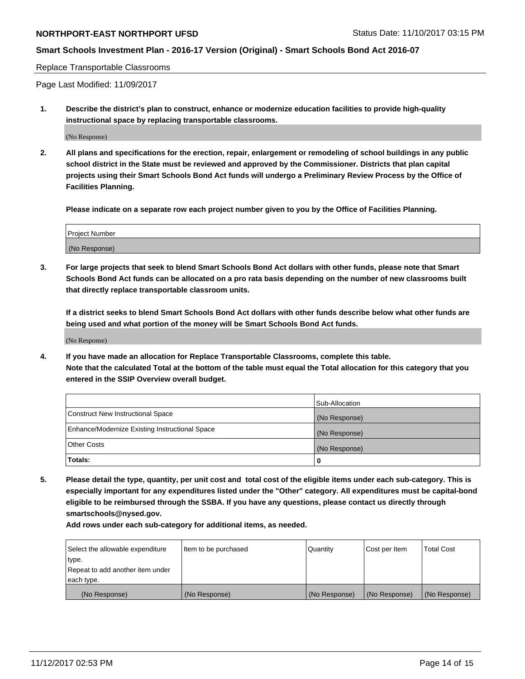# **Smart Schools Investment Plan - 2016-17 Version (Original) - Smart Schools Bond Act 2016-07**

#### Replace Transportable Classrooms

Page Last Modified: 11/09/2017

**1. Describe the district's plan to construct, enhance or modernize education facilities to provide high-quality instructional space by replacing transportable classrooms.**

(No Response)

**2. All plans and specifications for the erection, repair, enlargement or remodeling of school buildings in any public school district in the State must be reviewed and approved by the Commissioner. Districts that plan capital projects using their Smart Schools Bond Act funds will undergo a Preliminary Review Process by the Office of Facilities Planning.**

**Please indicate on a separate row each project number given to you by the Office of Facilities Planning.**

| <b>Project Number</b> |  |
|-----------------------|--|
| (No Response)         |  |

**3. For large projects that seek to blend Smart Schools Bond Act dollars with other funds, please note that Smart Schools Bond Act funds can be allocated on a pro rata basis depending on the number of new classrooms built that directly replace transportable classroom units.**

**If a district seeks to blend Smart Schools Bond Act dollars with other funds describe below what other funds are being used and what portion of the money will be Smart Schools Bond Act funds.**

(No Response)

**4. If you have made an allocation for Replace Transportable Classrooms, complete this table. Note that the calculated Total at the bottom of the table must equal the Total allocation for this category that you entered in the SSIP Overview overall budget.**

|                                                | Sub-Allocation |
|------------------------------------------------|----------------|
| Construct New Instructional Space              | (No Response)  |
| Enhance/Modernize Existing Instructional Space | (No Response)  |
| <b>Other Costs</b>                             | (No Response)  |
| Totals:                                        | 0              |

**5. Please detail the type, quantity, per unit cost and total cost of the eligible items under each sub-category. This is especially important for any expenditures listed under the "Other" category. All expenditures must be capital-bond eligible to be reimbursed through the SSBA. If you have any questions, please contact us directly through smartschools@nysed.gov.**

| Select the allowable expenditure | Item to be purchased | Quantity      | Cost per Item | <b>Total Cost</b> |
|----------------------------------|----------------------|---------------|---------------|-------------------|
| type.                            |                      |               |               |                   |
| Repeat to add another item under |                      |               |               |                   |
| each type.                       |                      |               |               |                   |
| (No Response)                    | (No Response)        | (No Response) | (No Response) | (No Response)     |